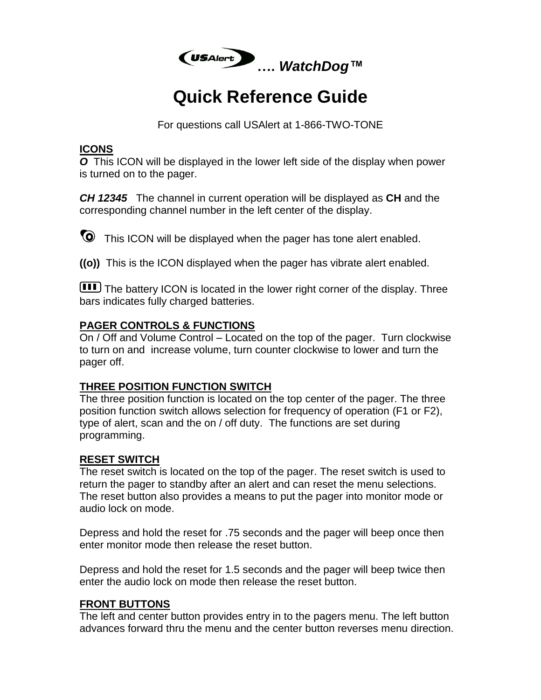

# **Quick Reference Guide**

For questions call USAlert at 1-866-TWO-TONE

## **ICONS**

*O* This ICON will be displayed in the lower left side of the display when power is turned on to the pager.

*CH 12345* The channel in current operation will be displayed as **CH** and the corresponding channel number in the left center of the display.

This ICON will be displayed when the pager has tone alert enabled.

**((o))** This is the ICON displayed when the pager has vibrate alert enabled.

**III** The battery ICON is located in the lower right corner of the display. Three bars indicates fully charged batteries.

## **PAGER CONTROLS & FUNCTIONS**

On / Off and Volume Control – Located on the top of the pager. Turn clockwise to turn on and increase volume, turn counter clockwise to lower and turn the pager off.

#### **THREE POSITION FUNCTION SWITCH**

The three position function is located on the top center of the pager. The three position function switch allows selection for frequency of operation (F1 or F2), type of alert, scan and the on / off duty. The functions are set during programming.

## **RESET SWITCH**

The reset switch is located on the top of the pager. The reset switch is used to return the pager to standby after an alert and can reset the menu selections. The reset button also provides a means to put the pager into monitor mode or audio lock on mode.

Depress and hold the reset for .75 seconds and the pager will beep once then enter monitor mode then release the reset button.

Depress and hold the reset for 1.5 seconds and the pager will beep twice then enter the audio lock on mode then release the reset button.

## **FRONT BUTTONS**

The left and center button provides entry in to the pagers menu. The left button advances forward thru the menu and the center button reverses menu direction.